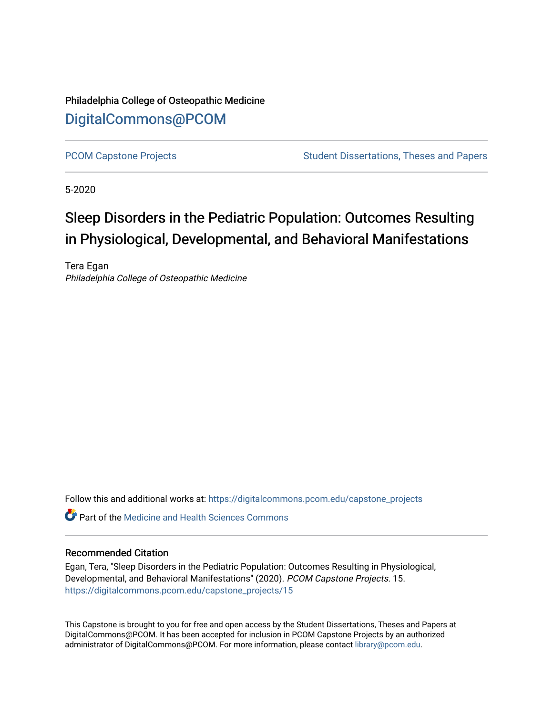Philadelphia College of Osteopathic Medicine [DigitalCommons@PCOM](https://digitalcommons.pcom.edu/) 

[PCOM Capstone Projects](https://digitalcommons.pcom.edu/capstone_projects) **Student Dissertations, Theses and Papers** Student Dissertations, Theses and Papers

5-2020

# Sleep Disorders in the Pediatric Population: Outcomes Resulting in Physiological, Developmental, and Behavioral Manifestations

Tera Egan Philadelphia College of Osteopathic Medicine

Follow this and additional works at: [https://digitalcommons.pcom.edu/capstone\\_projects](https://digitalcommons.pcom.edu/capstone_projects?utm_source=digitalcommons.pcom.edu%2Fcapstone_projects%2F15&utm_medium=PDF&utm_campaign=PDFCoverPages)

 $\bullet$  Part of the Medicine and Health Sciences Commons

#### Recommended Citation

Egan, Tera, "Sleep Disorders in the Pediatric Population: Outcomes Resulting in Physiological, Developmental, and Behavioral Manifestations" (2020). PCOM Capstone Projects. 15. [https://digitalcommons.pcom.edu/capstone\\_projects/15](https://digitalcommons.pcom.edu/capstone_projects/15?utm_source=digitalcommons.pcom.edu%2Fcapstone_projects%2F15&utm_medium=PDF&utm_campaign=PDFCoverPages) 

This Capstone is brought to you for free and open access by the Student Dissertations, Theses and Papers at DigitalCommons@PCOM. It has been accepted for inclusion in PCOM Capstone Projects by an authorized administrator of DigitalCommons@PCOM. For more information, please contact [library@pcom.edu.](mailto:library@pcom.edu)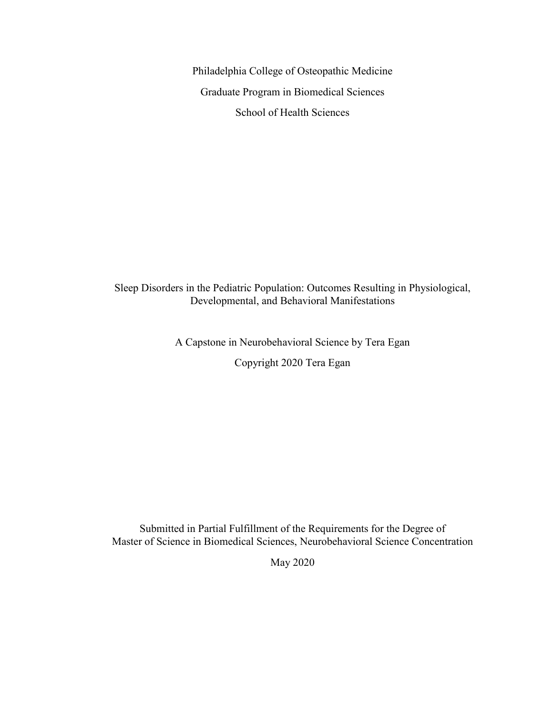Philadelphia College of Osteopathic Medicine Graduate Program in Biomedical Sciences School of Health Sciences

Sleep Disorders in the Pediatric Population: Outcomes Resulting in Physiological, Developmental, and Behavioral Manifestations

A Capstone in Neurobehavioral Science by Tera Egan

Copyright 2020 Tera Egan

Submitted in Partial Fulfillment of the Requirements for the Degree of Master of Science in Biomedical Sciences, Neurobehavioral Science Concentration

May 2020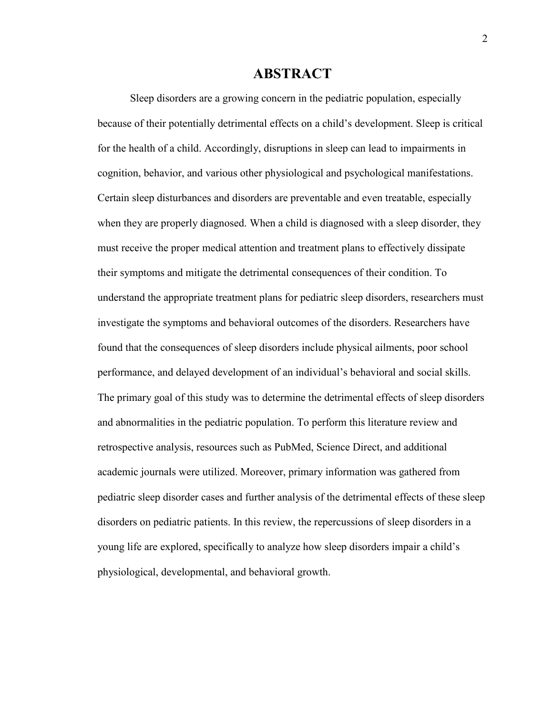## **ABSTRACT**

Sleep disorders are a growing concern in the pediatric population, especially because of their potentially detrimental effects on a child's development. Sleep is critical for the health of a child. Accordingly, disruptions in sleep can lead to impairments in cognition, behavior, and various other physiological and psychological manifestations. Certain sleep disturbances and disorders are preventable and even treatable, especially when they are properly diagnosed. When a child is diagnosed with a sleep disorder, they must receive the proper medical attention and treatment plans to effectively dissipate their symptoms and mitigate the detrimental consequences of their condition. To understand the appropriate treatment plans for pediatric sleep disorders, researchers must investigate the symptoms and behavioral outcomes of the disorders. Researchers have found that the consequences of sleep disorders include physical ailments, poor school performance, and delayed development of an individual's behavioral and social skills. The primary goal of this study was to determine the detrimental effects of sleep disorders and abnormalities in the pediatric population. To perform this literature review and retrospective analysis, resources such as PubMed, Science Direct, and additional academic journals were utilized. Moreover, primary information was gathered from pediatric sleep disorder cases and further analysis of the detrimental effects of these sleep disorders on pediatric patients. In this review, the repercussions of sleep disorders in a young life are explored, specifically to analyze how sleep disorders impair a child's physiological, developmental, and behavioral growth.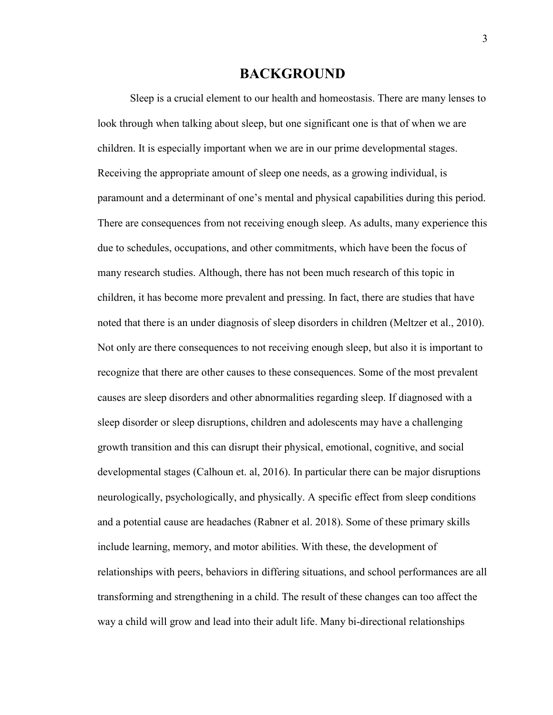## **BACKGROUND**

Sleep is a crucial element to our health and homeostasis. There are many lenses to look through when talking about sleep, but one significant one is that of when we are children. It is especially important when we are in our prime developmental stages. Receiving the appropriate amount of sleep one needs, as a growing individual, is paramount and a determinant of one's mental and physical capabilities during this period. There are consequences from not receiving enough sleep. As adults, many experience this due to schedules, occupations, and other commitments, which have been the focus of many research studies. Although, there has not been much research of this topic in children, it has become more prevalent and pressing. In fact, there are studies that have noted that there is an under diagnosis of sleep disorders in children (Meltzer et al., 2010). Not only are there consequences to not receiving enough sleep, but also it is important to recognize that there are other causes to these consequences. Some of the most prevalent causes are sleep disorders and other abnormalities regarding sleep. If diagnosed with a sleep disorder or sleep disruptions, children and adolescents may have a challenging growth transition and this can disrupt their physical, emotional, cognitive, and social developmental stages (Calhoun et. al, 2016). In particular there can be major disruptions neurologically, psychologically, and physically. A specific effect from sleep conditions and a potential cause are headaches (Rabner et al. 2018). Some of these primary skills include learning, memory, and motor abilities. With these, the development of relationships with peers, behaviors in differing situations, and school performances are all transforming and strengthening in a child. The result of these changes can too affect the way a child will grow and lead into their adult life. Many bi-directional relationships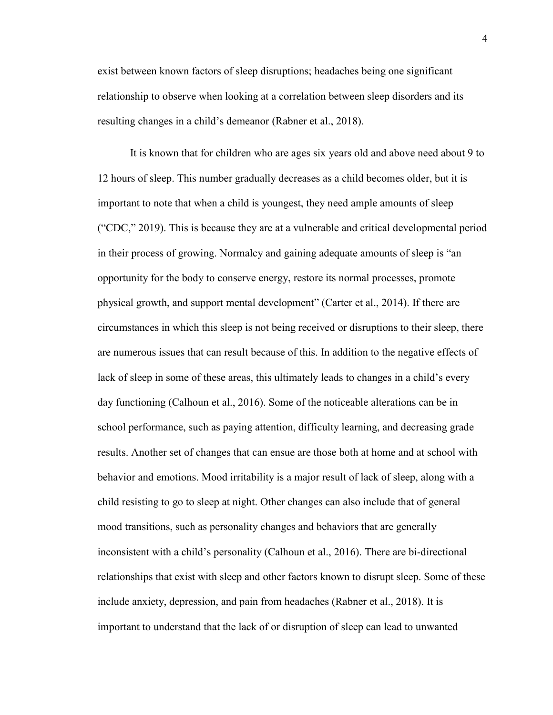exist between known factors of sleep disruptions; headaches being one significant relationship to observe when looking at a correlation between sleep disorders and its resulting changes in a child's demeanor (Rabner et al., 2018).

It is known that for children who are ages six years old and above need about 9 to 12 hours of sleep. This number gradually decreases as a child becomes older, but it is important to note that when a child is youngest, they need ample amounts of sleep ("CDC," 2019). This is because they are at a vulnerable and critical developmental period in their process of growing. Normalcy and gaining adequate amounts of sleep is "an opportunity for the body to conserve energy, restore its normal processes, promote physical growth, and support mental development" (Carter et al., 2014). If there are circumstances in which this sleep is not being received or disruptions to their sleep, there are numerous issues that can result because of this. In addition to the negative effects of lack of sleep in some of these areas, this ultimately leads to changes in a child's every day functioning (Calhoun et al., 2016). Some of the noticeable alterations can be in school performance, such as paying attention, difficulty learning, and decreasing grade results. Another set of changes that can ensue are those both at home and at school with behavior and emotions. Mood irritability is a major result of lack of sleep, along with a child resisting to go to sleep at night. Other changes can also include that of general mood transitions, such as personality changes and behaviors that are generally inconsistent with a child's personality (Calhoun et al., 2016). There are bi-directional relationships that exist with sleep and other factors known to disrupt sleep. Some of these include anxiety, depression, and pain from headaches (Rabner et al., 2018). It is important to understand that the lack of or disruption of sleep can lead to unwanted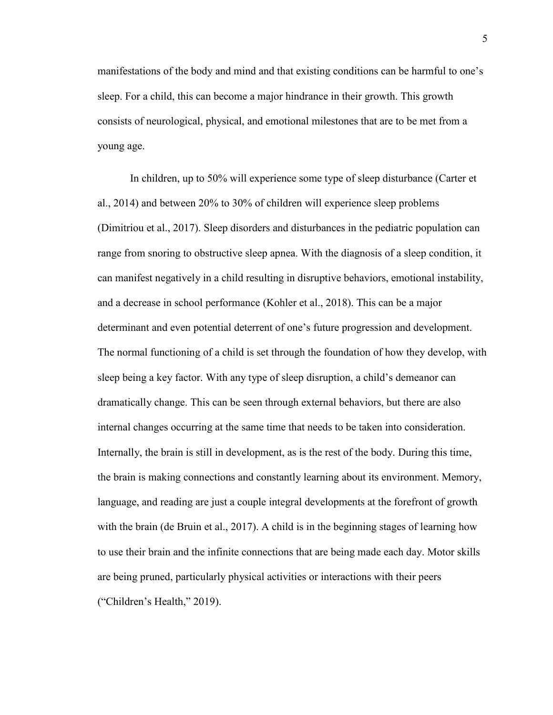manifestations of the body and mind and that existing conditions can be harmful to one's sleep. For a child, this can become a major hindrance in their growth. This growth consists of neurological, physical, and emotional milestones that are to be met from a young age.

In children, up to 50% will experience some type of sleep disturbance (Carter et al., 2014) and between 20% to 30% of children will experience sleep problems (Dimitriou et al., 2017). Sleep disorders and disturbances in the pediatric population can range from snoring to obstructive sleep apnea. With the diagnosis of a sleep condition, it can manifest negatively in a child resulting in disruptive behaviors, emotional instability, and a decrease in school performance (Kohler et al., 2018). This can be a major determinant and even potential deterrent of one's future progression and development. The normal functioning of a child is set through the foundation of how they develop, with sleep being a key factor. With any type of sleep disruption, a child's demeanor can dramatically change. This can be seen through external behaviors, but there are also internal changes occurring at the same time that needs to be taken into consideration. Internally, the brain is still in development, as is the rest of the body. During this time, the brain is making connections and constantly learning about its environment. Memory, language, and reading are just a couple integral developments at the forefront of growth with the brain (de Bruin et al., 2017). A child is in the beginning stages of learning how to use their brain and the infinite connections that are being made each day. Motor skills are being pruned, particularly physical activities or interactions with their peers ("Children's Health," 2019).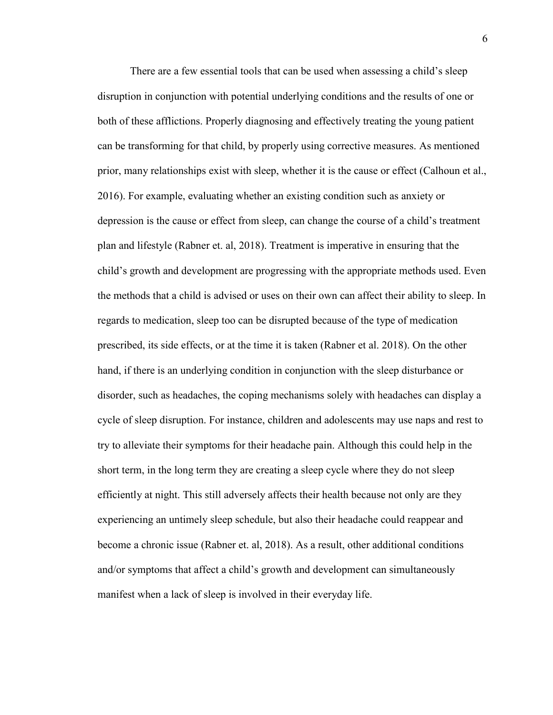There are a few essential tools that can be used when assessing a child's sleep disruption in conjunction with potential underlying conditions and the results of one or both of these afflictions. Properly diagnosing and effectively treating the young patient can be transforming for that child, by properly using corrective measures. As mentioned prior, many relationships exist with sleep, whether it is the cause or effect (Calhoun et al., 2016). For example, evaluating whether an existing condition such as anxiety or depression is the cause or effect from sleep, can change the course of a child's treatment plan and lifestyle (Rabner et. al, 2018). Treatment is imperative in ensuring that the child's growth and development are progressing with the appropriate methods used. Even the methods that a child is advised or uses on their own can affect their ability to sleep. In regards to medication, sleep too can be disrupted because of the type of medication prescribed, its side effects, or at the time it is taken (Rabner et al. 2018). On the other hand, if there is an underlying condition in conjunction with the sleep disturbance or disorder, such as headaches, the coping mechanisms solely with headaches can display a cycle of sleep disruption. For instance, children and adolescents may use naps and rest to try to alleviate their symptoms for their headache pain. Although this could help in the short term, in the long term they are creating a sleep cycle where they do not sleep efficiently at night. This still adversely affects their health because not only are they experiencing an untimely sleep schedule, but also their headache could reappear and become a chronic issue (Rabner et. al, 2018). As a result, other additional conditions and/or symptoms that affect a child's growth and development can simultaneously manifest when a lack of sleep is involved in their everyday life.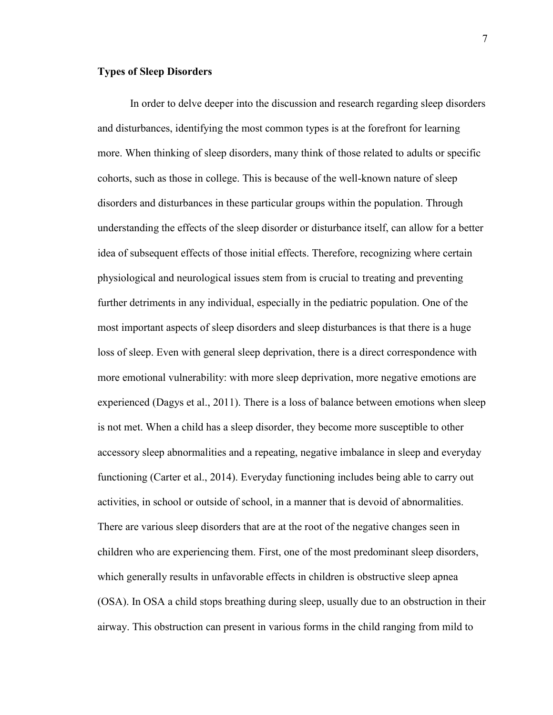#### **Types of Sleep Disorders**

In order to delve deeper into the discussion and research regarding sleep disorders and disturbances, identifying the most common types is at the forefront for learning more. When thinking of sleep disorders, many think of those related to adults or specific cohorts, such as those in college. This is because of the well-known nature of sleep disorders and disturbances in these particular groups within the population. Through understanding the effects of the sleep disorder or disturbance itself, can allow for a better idea of subsequent effects of those initial effects. Therefore, recognizing where certain physiological and neurological issues stem from is crucial to treating and preventing further detriments in any individual, especially in the pediatric population. One of the most important aspects of sleep disorders and sleep disturbances is that there is a huge loss of sleep. Even with general sleep deprivation, there is a direct correspondence with more emotional vulnerability: with more sleep deprivation, more negative emotions are experienced (Dagys et al., 2011). There is a loss of balance between emotions when sleep is not met. When a child has a sleep disorder, they become more susceptible to other accessory sleep abnormalities and a repeating, negative imbalance in sleep and everyday functioning (Carter et al., 2014). Everyday functioning includes being able to carry out activities, in school or outside of school, in a manner that is devoid of abnormalities. There are various sleep disorders that are at the root of the negative changes seen in children who are experiencing them. First, one of the most predominant sleep disorders, which generally results in unfavorable effects in children is obstructive sleep apnea (OSA). In OSA a child stops breathing during sleep, usually due to an obstruction in their airway. This obstruction can present in various forms in the child ranging from mild to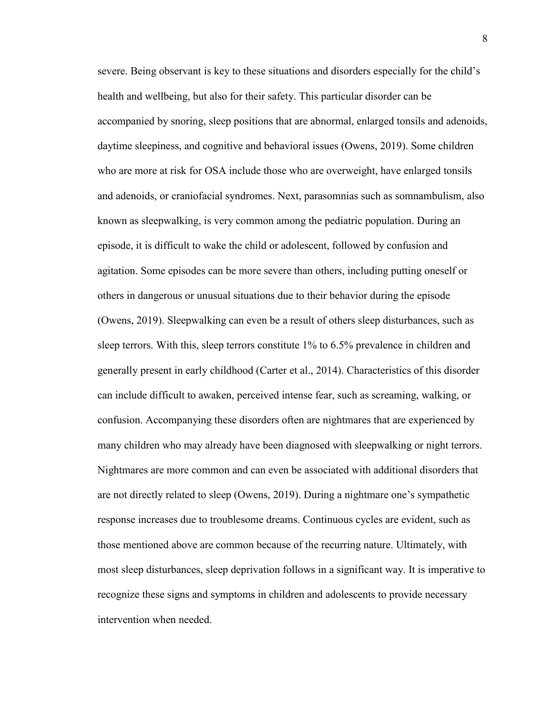severe. Being observant is key to these situations and disorders especially for the child's health and wellbeing, but also for their safety. This particular disorder can be accompanied by snoring, sleep positions that are abnormal, enlarged tonsils and adenoids, daytime sleepiness, and cognitive and behavioral issues (Owens, 2019). Some children who are more at risk for OSA include those who are overweight, have enlarged tonsils and adenoids, or craniofacial syndromes. Next, parasomnias such as somnambulism, also known as sleepwalking, is very common among the pediatric population. During an episode, it is difficult to wake the child or adolescent, followed by confusion and agitation. Some episodes can be more severe than others, including putting oneself or others in dangerous or unusual situations due to their behavior during the episode (Owens, 2019). Sleepwalking can even be a result of others sleep disturbances, such as sleep terrors. With this, sleep terrors constitute 1% to 6.5% prevalence in children and generally present in early childhood (Carter et al., 2014). Characteristics of this disorder can include difficult to awaken, perceived intense fear, such as screaming, walking, or confusion. Accompanying these disorders often are nightmares that are experienced by many children who may already have been diagnosed with sleepwalking or night terrors. Nightmares are more common and can even be associated with additional disorders that are not directly related to sleep (Owens, 2019). During a nightmare one's sympathetic response increases due to troublesome dreams. Continuous cycles are evident, such as those mentioned above are common because of the recurring nature. Ultimately, with most sleep disturbances, sleep deprivation follows in a significant way. It is imperative to recognize these signs and symptoms in children and adolescents to provide necessary intervention when needed.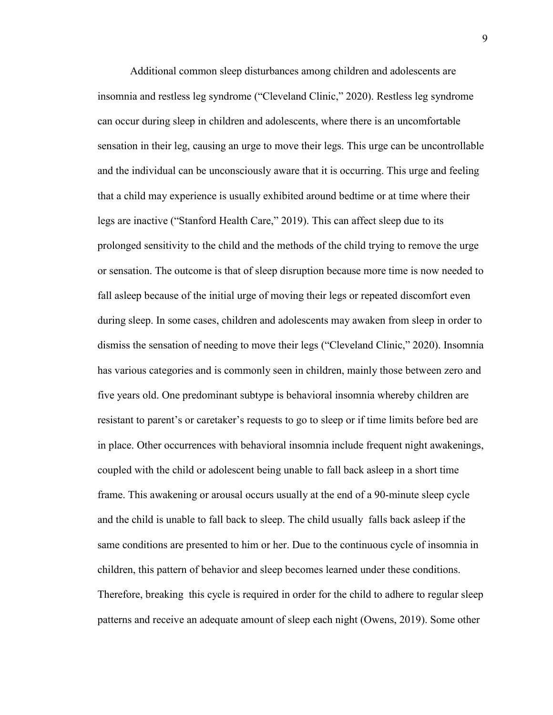Additional common sleep disturbances among children and adolescents are insomnia and restless leg syndrome ("Cleveland Clinic," 2020). Restless leg syndrome can occur during sleep in children and adolescents, where there is an uncomfortable sensation in their leg, causing an urge to move their legs. This urge can be uncontrollable and the individual can be unconsciously aware that it is occurring. This urge and feeling that a child may experience is usually exhibited around bedtime or at time where their legs are inactive ("Stanford Health Care," 2019). This can affect sleep due to its prolonged sensitivity to the child and the methods of the child trying to remove the urge or sensation. The outcome is that of sleep disruption because more time is now needed to fall asleep because of the initial urge of moving their legs or repeated discomfort even during sleep. In some cases, children and adolescents may awaken from sleep in order to dismiss the sensation of needing to move their legs ("Cleveland Clinic," 2020). Insomnia has various categories and is commonly seen in children, mainly those between zero and five years old. One predominant subtype is behavioral insomnia whereby children are resistant to parent's or caretaker's requests to go to sleep or if time limits before bed are in place. Other occurrences with behavioral insomnia include frequent night awakenings, coupled with the child or adolescent being unable to fall back asleep in a short time frame. This awakening or arousal occurs usually at the end of a 90-minute sleep cycle and the child is unable to fall back to sleep. The child usually falls back asleep if the same conditions are presented to him or her. Due to the continuous cycle of insomnia in children, this pattern of behavior and sleep becomes learned under these conditions. Therefore, breaking this cycle is required in order for the child to adhere to regular sleep patterns and receive an adequate amount of sleep each night (Owens, 2019). Some other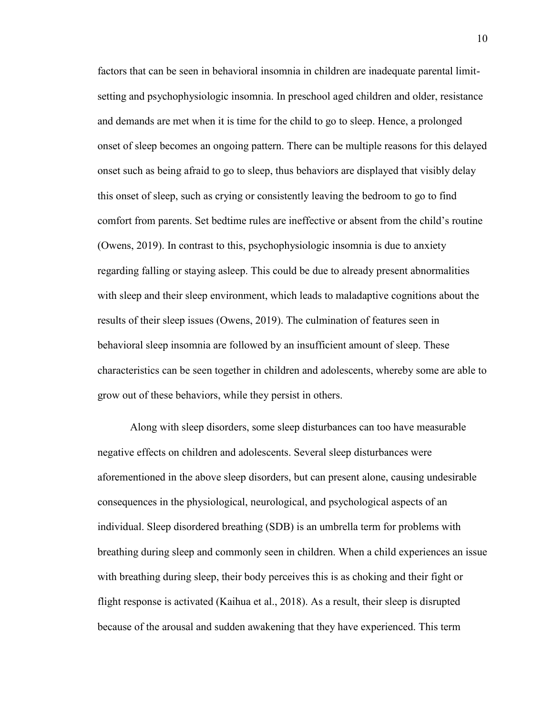factors that can be seen in behavioral insomnia in children are inadequate parental limitsetting and psychophysiologic insomnia. In preschool aged children and older, resistance and demands are met when it is time for the child to go to sleep. Hence, a prolonged onset of sleep becomes an ongoing pattern. There can be multiple reasons for this delayed onset such as being afraid to go to sleep, thus behaviors are displayed that visibly delay this onset of sleep, such as crying or consistently leaving the bedroom to go to find comfort from parents. Set bedtime rules are ineffective or absent from the child's routine (Owens, 2019). In contrast to this, psychophysiologic insomnia is due to anxiety regarding falling or staying asleep. This could be due to already present abnormalities with sleep and their sleep environment, which leads to maladaptive cognitions about the results of their sleep issues (Owens, 2019). The culmination of features seen in behavioral sleep insomnia are followed by an insufficient amount of sleep. These characteristics can be seen together in children and adolescents, whereby some are able to grow out of these behaviors, while they persist in others.

Along with sleep disorders, some sleep disturbances can too have measurable negative effects on children and adolescents. Several sleep disturbances were aforementioned in the above sleep disorders, but can present alone, causing undesirable consequences in the physiological, neurological, and psychological aspects of an individual. Sleep disordered breathing (SDB) is an umbrella term for problems with breathing during sleep and commonly seen in children. When a child experiences an issue with breathing during sleep, their body perceives this is as choking and their fight or flight response is activated (Kaihua et al., 2018). As a result, their sleep is disrupted because of the arousal and sudden awakening that they have experienced. This term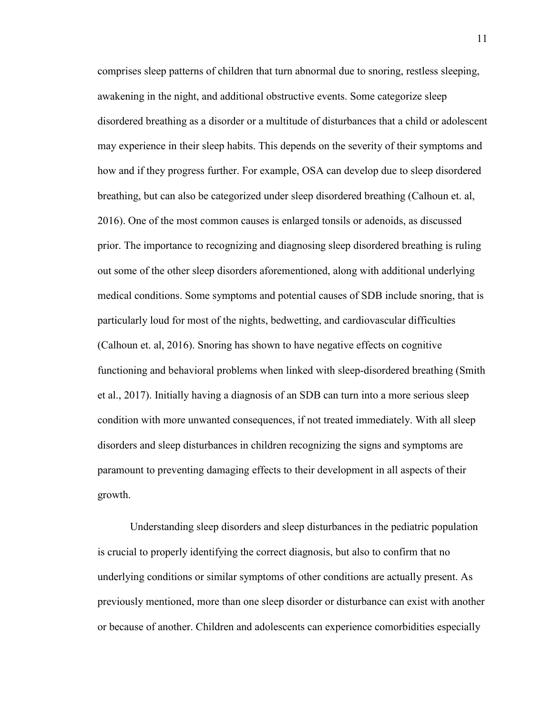comprises sleep patterns of children that turn abnormal due to snoring, restless sleeping, awakening in the night, and additional obstructive events. Some categorize sleep disordered breathing as a disorder or a multitude of disturbances that a child or adolescent may experience in their sleep habits. This depends on the severity of their symptoms and how and if they progress further. For example, OSA can develop due to sleep disordered breathing, but can also be categorized under sleep disordered breathing (Calhoun et. al, 2016). One of the most common causes is enlarged tonsils or adenoids, as discussed prior. The importance to recognizing and diagnosing sleep disordered breathing is ruling out some of the other sleep disorders aforementioned, along with additional underlying medical conditions. Some symptoms and potential causes of SDB include snoring, that is particularly loud for most of the nights, bedwetting, and cardiovascular difficulties (Calhoun et. al, 2016). Snoring has shown to have negative effects on cognitive functioning and behavioral problems when linked with sleep-disordered breathing (Smith et al., 2017). Initially having a diagnosis of an SDB can turn into a more serious sleep condition with more unwanted consequences, if not treated immediately. With all sleep disorders and sleep disturbances in children recognizing the signs and symptoms are paramount to preventing damaging effects to their development in all aspects of their growth.

Understanding sleep disorders and sleep disturbances in the pediatric population is crucial to properly identifying the correct diagnosis, but also to confirm that no underlying conditions or similar symptoms of other conditions are actually present. As previously mentioned, more than one sleep disorder or disturbance can exist with another or because of another. Children and adolescents can experience comorbidities especially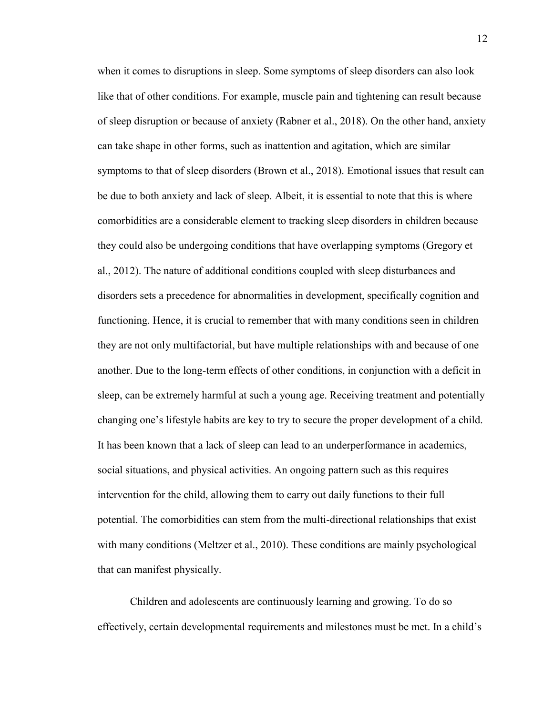when it comes to disruptions in sleep. Some symptoms of sleep disorders can also look like that of other conditions. For example, muscle pain and tightening can result because of sleep disruption or because of anxiety (Rabner et al., 2018). On the other hand, anxiety can take shape in other forms, such as inattention and agitation, which are similar symptoms to that of sleep disorders (Brown et al., 2018). Emotional issues that result can be due to both anxiety and lack of sleep. Albeit, it is essential to note that this is where comorbidities are a considerable element to tracking sleep disorders in children because they could also be undergoing conditions that have overlapping symptoms (Gregory et al., 2012). The nature of additional conditions coupled with sleep disturbances and disorders sets a precedence for abnormalities in development, specifically cognition and functioning. Hence, it is crucial to remember that with many conditions seen in children they are not only multifactorial, but have multiple relationships with and because of one another. Due to the long-term effects of other conditions, in conjunction with a deficit in sleep, can be extremely harmful at such a young age. Receiving treatment and potentially changing one's lifestyle habits are key to try to secure the proper development of a child. It has been known that a lack of sleep can lead to an underperformance in academics, social situations, and physical activities. An ongoing pattern such as this requires intervention for the child, allowing them to carry out daily functions to their full potential. The comorbidities can stem from the multi-directional relationships that exist with many conditions (Meltzer et al., 2010). These conditions are mainly psychological that can manifest physically.

Children and adolescents are continuously learning and growing. To do so effectively, certain developmental requirements and milestones must be met. In a child's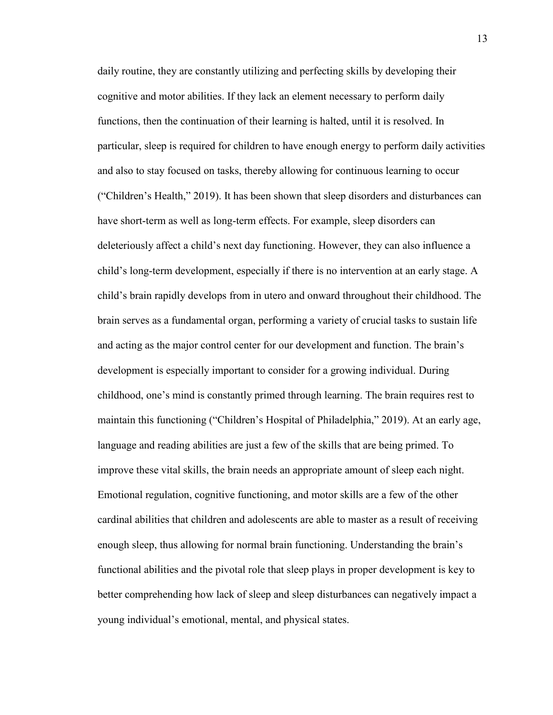daily routine, they are constantly utilizing and perfecting skills by developing their cognitive and motor abilities. If they lack an element necessary to perform daily functions, then the continuation of their learning is halted, until it is resolved. In particular, sleep is required for children to have enough energy to perform daily activities and also to stay focused on tasks, thereby allowing for continuous learning to occur ("Children's Health," 2019). It has been shown that sleep disorders and disturbances can have short-term as well as long-term effects. For example, sleep disorders can deleteriously affect a child's next day functioning. However, they can also influence a child's long-term development, especially if there is no intervention at an early stage. A child's brain rapidly develops from in utero and onward throughout their childhood. The brain serves as a fundamental organ, performing a variety of crucial tasks to sustain life and acting as the major control center for our development and function. The brain's development is especially important to consider for a growing individual. During childhood, one's mind is constantly primed through learning. The brain requires rest to maintain this functioning ("Children's Hospital of Philadelphia," 2019). At an early age, language and reading abilities are just a few of the skills that are being primed. To improve these vital skills, the brain needs an appropriate amount of sleep each night. Emotional regulation, cognitive functioning, and motor skills are a few of the other cardinal abilities that children and adolescents are able to master as a result of receiving enough sleep, thus allowing for normal brain functioning. Understanding the brain's functional abilities and the pivotal role that sleep plays in proper development is key to better comprehending how lack of sleep and sleep disturbances can negatively impact a young individual's emotional, mental, and physical states.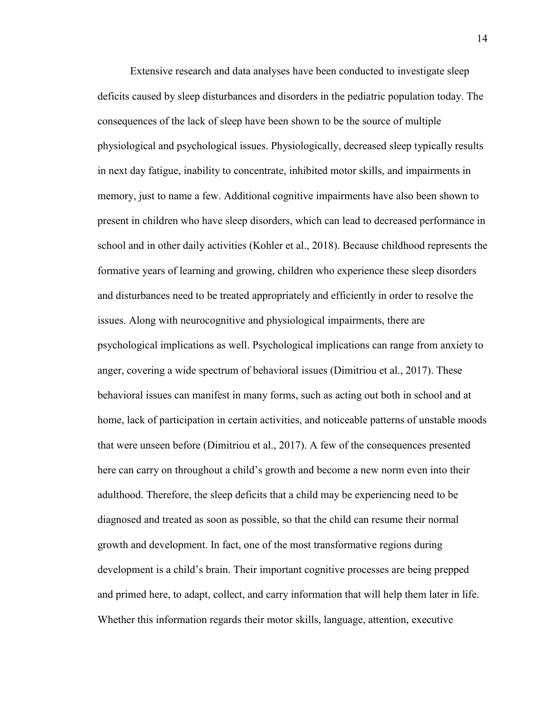Extensive research and data analyses have been conducted to investigate sleep deficits caused by sleep disturbances and disorders in the pediatric population today. The consequences of the lack of sleep have been shown to be the source of multiple physiological and psychological issues. Physiologically, decreased sleep typically results in next day fatigue, inability to concentrate, inhibited motor skills, and impairments in memory, just to name a few. Additional cognitive impairments have also been shown to present in children who have sleep disorders, which can lead to decreased performance in school and in other daily activities (Kohler et al., 2018). Because childhood represents the formative years of learning and growing, children who experience these sleep disorders and disturbances need to be treated appropriately and efficiently in order to resolve the issues. Along with neurocognitive and physiological impairments, there are psychological implications as well. Psychological implications can range from anxiety to anger, covering a wide spectrum of behavioral issues (Dimitriou et al., 2017). These behavioral issues can manifest in many forms, such as acting out both in school and at home, lack of participation in certain activities, and noticeable patterns of unstable moods that were unseen before (Dimitriou et al., 2017). A few of the consequences presented here can carry on throughout a child's growth and become a new norm even into their adulthood. Therefore, the sleep deficits that a child may be experiencing need to be diagnosed and treated as soon as possible, so that the child can resume their normal growth and development. In fact, one of the most transformative regions during development is a child's brain. Their important cognitive processes are being prepped and primed here, to adapt, collect, and carry information that will help them later in life. Whether this information regards their motor skills, language, attention, executive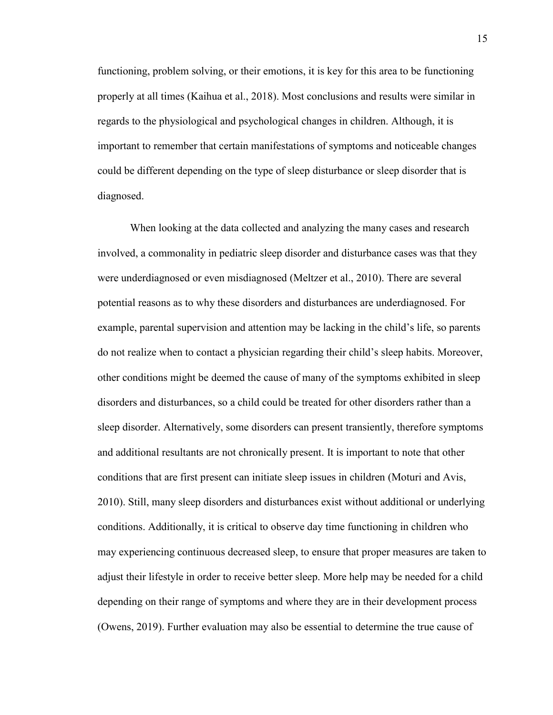functioning, problem solving, or their emotions, it is key for this area to be functioning properly at all times (Kaihua et al., 2018). Most conclusions and results were similar in regards to the physiological and psychological changes in children. Although, it is important to remember that certain manifestations of symptoms and noticeable changes could be different depending on the type of sleep disturbance or sleep disorder that is diagnosed.

When looking at the data collected and analyzing the many cases and research involved, a commonality in pediatric sleep disorder and disturbance cases was that they were underdiagnosed or even misdiagnosed (Meltzer et al., 2010). There are several potential reasons as to why these disorders and disturbances are underdiagnosed. For example, parental supervision and attention may be lacking in the child's life, so parents do not realize when to contact a physician regarding their child's sleep habits. Moreover, other conditions might be deemed the cause of many of the symptoms exhibited in sleep disorders and disturbances, so a child could be treated for other disorders rather than a sleep disorder. Alternatively, some disorders can present transiently, therefore symptoms and additional resultants are not chronically present. It is important to note that other conditions that are first present can initiate sleep issues in children (Moturi and Avis, 2010). Still, many sleep disorders and disturbances exist without additional or underlying conditions. Additionally, it is critical to observe day time functioning in children who may experiencing continuous decreased sleep, to ensure that proper measures are taken to adjust their lifestyle in order to receive better sleep. More help may be needed for a child depending on their range of symptoms and where they are in their development process (Owens, 2019). Further evaluation may also be essential to determine the true cause of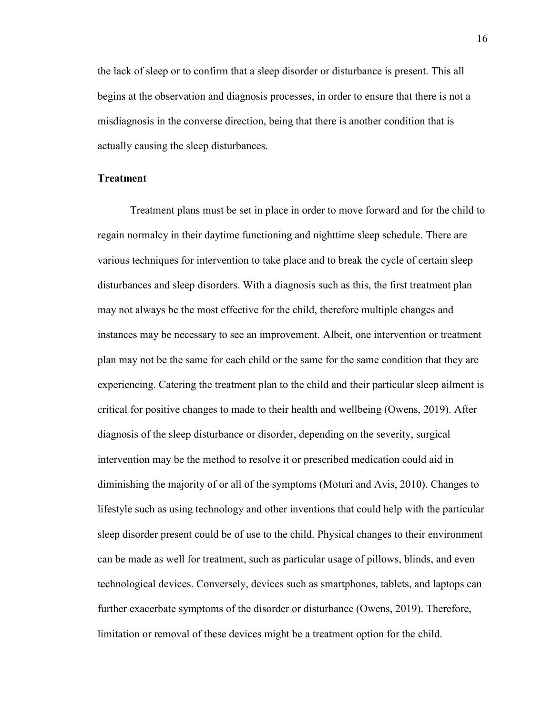the lack of sleep or to confirm that a sleep disorder or disturbance is present. This all begins at the observation and diagnosis processes, in order to ensure that there is not a misdiagnosis in the converse direction, being that there is another condition that is actually causing the sleep disturbances.

#### **Treatment**

Treatment plans must be set in place in order to move forward and for the child to regain normalcy in their daytime functioning and nighttime sleep schedule. There are various techniques for intervention to take place and to break the cycle of certain sleep disturbances and sleep disorders. With a diagnosis such as this, the first treatment plan may not always be the most effective for the child, therefore multiple changes and instances may be necessary to see an improvement. Albeit, one intervention or treatment plan may not be the same for each child or the same for the same condition that they are experiencing. Catering the treatment plan to the child and their particular sleep ailment is critical for positive changes to made to their health and wellbeing (Owens, 2019). After diagnosis of the sleep disturbance or disorder, depending on the severity, surgical intervention may be the method to resolve it or prescribed medication could aid in diminishing the majority of or all of the symptoms (Moturi and Avis, 2010). Changes to lifestyle such as using technology and other inventions that could help with the particular sleep disorder present could be of use to the child. Physical changes to their environment can be made as well for treatment, such as particular usage of pillows, blinds, and even technological devices. Conversely, devices such as smartphones, tablets, and laptops can further exacerbate symptoms of the disorder or disturbance (Owens, 2019). Therefore, limitation or removal of these devices might be a treatment option for the child.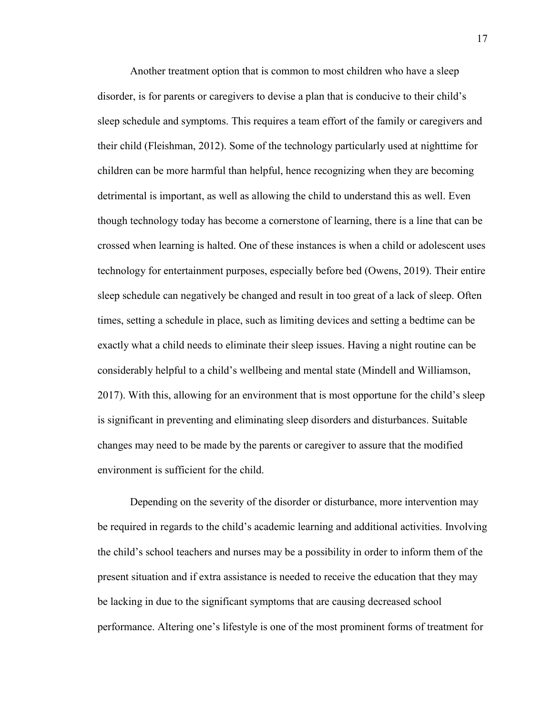Another treatment option that is common to most children who have a sleep disorder, is for parents or caregivers to devise a plan that is conducive to their child's sleep schedule and symptoms. This requires a team effort of the family or caregivers and their child (Fleishman, 2012). Some of the technology particularly used at nighttime for children can be more harmful than helpful, hence recognizing when they are becoming detrimental is important, as well as allowing the child to understand this as well. Even though technology today has become a cornerstone of learning, there is a line that can be crossed when learning is halted. One of these instances is when a child or adolescent uses technology for entertainment purposes, especially before bed (Owens, 2019). Their entire sleep schedule can negatively be changed and result in too great of a lack of sleep. Often times, setting a schedule in place, such as limiting devices and setting a bedtime can be exactly what a child needs to eliminate their sleep issues. Having a night routine can be considerably helpful to a child's wellbeing and mental state (Mindell and Williamson, 2017). With this, allowing for an environment that is most opportune for the child's sleep is significant in preventing and eliminating sleep disorders and disturbances. Suitable changes may need to be made by the parents or caregiver to assure that the modified environment is sufficient for the child.

Depending on the severity of the disorder or disturbance, more intervention may be required in regards to the child's academic learning and additional activities. Involving the child's school teachers and nurses may be a possibility in order to inform them of the present situation and if extra assistance is needed to receive the education that they may be lacking in due to the significant symptoms that are causing decreased school performance. Altering one's lifestyle is one of the most prominent forms of treatment for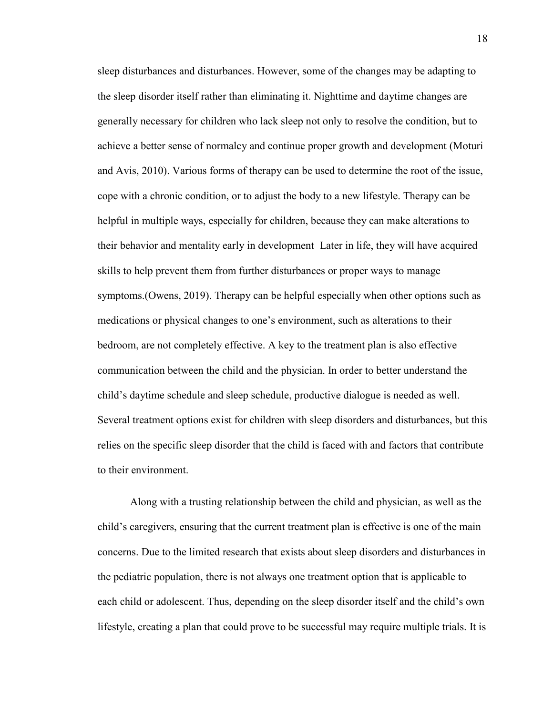sleep disturbances and disturbances. However, some of the changes may be adapting to the sleep disorder itself rather than eliminating it. Nighttime and daytime changes are generally necessary for children who lack sleep not only to resolve the condition, but to achieve a better sense of normalcy and continue proper growth and development (Moturi and Avis, 2010). Various forms of therapy can be used to determine the root of the issue, cope with a chronic condition, or to adjust the body to a new lifestyle. Therapy can be helpful in multiple ways, especially for children, because they can make alterations to their behavior and mentality early in development Later in life, they will have acquired skills to help prevent them from further disturbances or proper ways to manage symptoms.(Owens, 2019). Therapy can be helpful especially when other options such as medications or physical changes to one's environment, such as alterations to their bedroom, are not completely effective. A key to the treatment plan is also effective communication between the child and the physician. In order to better understand the child's daytime schedule and sleep schedule, productive dialogue is needed as well. Several treatment options exist for children with sleep disorders and disturbances, but this relies on the specific sleep disorder that the child is faced with and factors that contribute to their environment.

Along with a trusting relationship between the child and physician, as well as the child's caregivers, ensuring that the current treatment plan is effective is one of the main concerns. Due to the limited research that exists about sleep disorders and disturbances in the pediatric population, there is not always one treatment option that is applicable to each child or adolescent. Thus, depending on the sleep disorder itself and the child's own lifestyle, creating a plan that could prove to be successful may require multiple trials. It is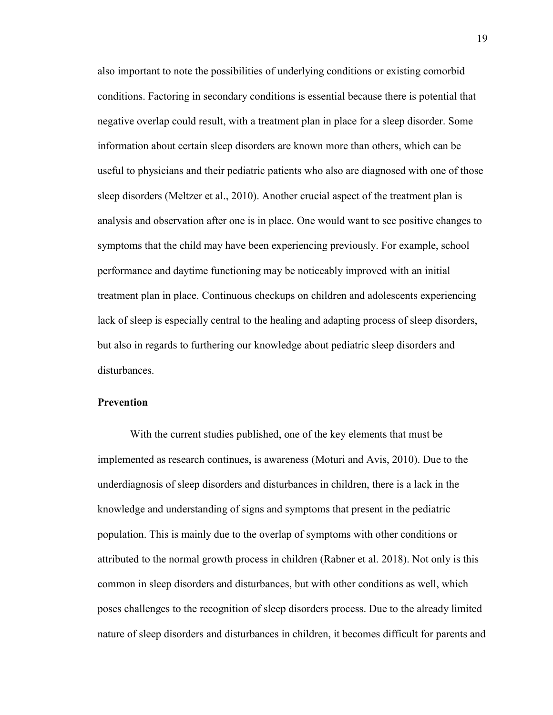also important to note the possibilities of underlying conditions or existing comorbid conditions. Factoring in secondary conditions is essential because there is potential that negative overlap could result, with a treatment plan in place for a sleep disorder. Some information about certain sleep disorders are known more than others, which can be useful to physicians and their pediatric patients who also are diagnosed with one of those sleep disorders (Meltzer et al., 2010). Another crucial aspect of the treatment plan is analysis and observation after one is in place. One would want to see positive changes to symptoms that the child may have been experiencing previously. For example, school performance and daytime functioning may be noticeably improved with an initial treatment plan in place. Continuous checkups on children and adolescents experiencing lack of sleep is especially central to the healing and adapting process of sleep disorders, but also in regards to furthering our knowledge about pediatric sleep disorders and disturbances.

#### **Prevention**

With the current studies published, one of the key elements that must be implemented as research continues, is awareness (Moturi and Avis, 2010). Due to the underdiagnosis of sleep disorders and disturbances in children, there is a lack in the knowledge and understanding of signs and symptoms that present in the pediatric population. This is mainly due to the overlap of symptoms with other conditions or attributed to the normal growth process in children (Rabner et al. 2018). Not only is this common in sleep disorders and disturbances, but with other conditions as well, which poses challenges to the recognition of sleep disorders process. Due to the already limited nature of sleep disorders and disturbances in children, it becomes difficult for parents and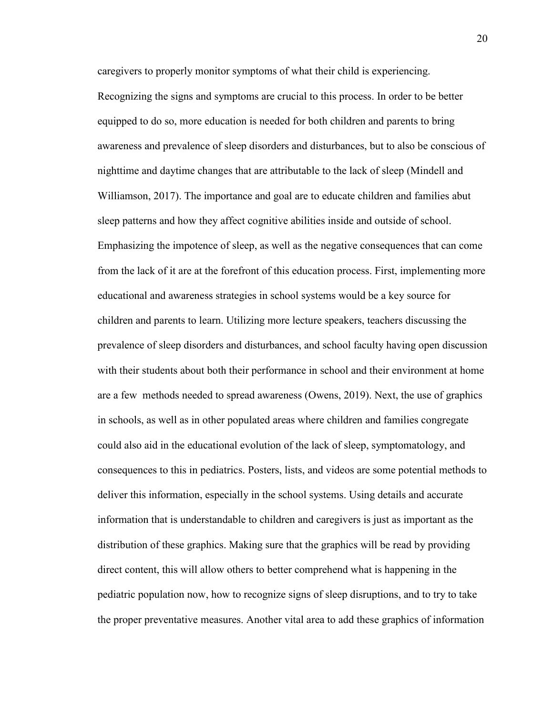caregivers to properly monitor symptoms of what their child is experiencing. Recognizing the signs and symptoms are crucial to this process. In order to be better equipped to do so, more education is needed for both children and parents to bring awareness and prevalence of sleep disorders and disturbances, but to also be conscious of nighttime and daytime changes that are attributable to the lack of sleep (Mindell and Williamson, 2017). The importance and goal are to educate children and families abut sleep patterns and how they affect cognitive abilities inside and outside of school. Emphasizing the impotence of sleep, as well as the negative consequences that can come from the lack of it are at the forefront of this education process. First, implementing more educational and awareness strategies in school systems would be a key source for children and parents to learn. Utilizing more lecture speakers, teachers discussing the prevalence of sleep disorders and disturbances, and school faculty having open discussion with their students about both their performance in school and their environment at home are a few methods needed to spread awareness (Owens, 2019). Next, the use of graphics in schools, as well as in other populated areas where children and families congregate could also aid in the educational evolution of the lack of sleep, symptomatology, and consequences to this in pediatrics. Posters, lists, and videos are some potential methods to deliver this information, especially in the school systems. Using details and accurate information that is understandable to children and caregivers is just as important as the distribution of these graphics. Making sure that the graphics will be read by providing direct content, this will allow others to better comprehend what is happening in the pediatric population now, how to recognize signs of sleep disruptions, and to try to take the proper preventative measures. Another vital area to add these graphics of information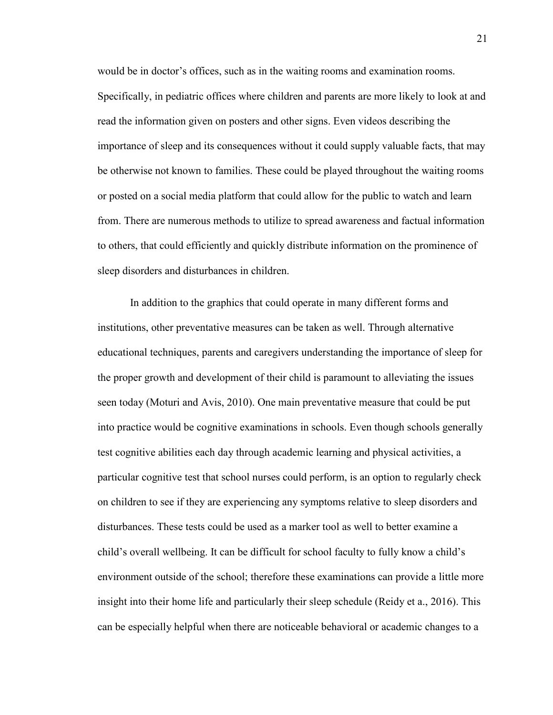would be in doctor's offices, such as in the waiting rooms and examination rooms. Specifically, in pediatric offices where children and parents are more likely to look at and read the information given on posters and other signs. Even videos describing the importance of sleep and its consequences without it could supply valuable facts, that may be otherwise not known to families. These could be played throughout the waiting rooms or posted on a social media platform that could allow for the public to watch and learn from. There are numerous methods to utilize to spread awareness and factual information to others, that could efficiently and quickly distribute information on the prominence of sleep disorders and disturbances in children.

In addition to the graphics that could operate in many different forms and institutions, other preventative measures can be taken as well. Through alternative educational techniques, parents and caregivers understanding the importance of sleep for the proper growth and development of their child is paramount to alleviating the issues seen today (Moturi and Avis, 2010). One main preventative measure that could be put into practice would be cognitive examinations in schools. Even though schools generally test cognitive abilities each day through academic learning and physical activities, a particular cognitive test that school nurses could perform, is an option to regularly check on children to see if they are experiencing any symptoms relative to sleep disorders and disturbances. These tests could be used as a marker tool as well to better examine a child's overall wellbeing. It can be difficult for school faculty to fully know a child's environment outside of the school; therefore these examinations can provide a little more insight into their home life and particularly their sleep schedule (Reidy et a., 2016). This can be especially helpful when there are noticeable behavioral or academic changes to a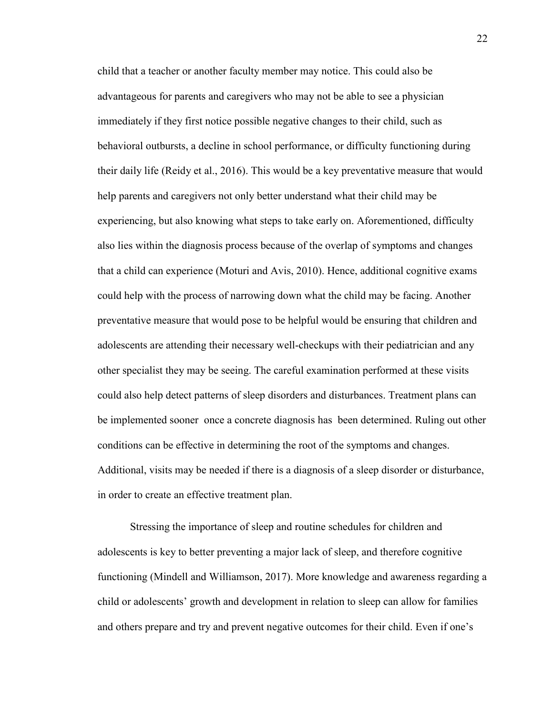child that a teacher or another faculty member may notice. This could also be advantageous for parents and caregivers who may not be able to see a physician immediately if they first notice possible negative changes to their child, such as behavioral outbursts, a decline in school performance, or difficulty functioning during their daily life (Reidy et al., 2016). This would be a key preventative measure that would help parents and caregivers not only better understand what their child may be experiencing, but also knowing what steps to take early on. Aforementioned, difficulty also lies within the diagnosis process because of the overlap of symptoms and changes that a child can experience (Moturi and Avis, 2010). Hence, additional cognitive exams could help with the process of narrowing down what the child may be facing. Another preventative measure that would pose to be helpful would be ensuring that children and adolescents are attending their necessary well-checkups with their pediatrician and any other specialist they may be seeing. The careful examination performed at these visits could also help detect patterns of sleep disorders and disturbances. Treatment plans can be implemented sooner once a concrete diagnosis has been determined. Ruling out other conditions can be effective in determining the root of the symptoms and changes. Additional, visits may be needed if there is a diagnosis of a sleep disorder or disturbance, in order to create an effective treatment plan.

Stressing the importance of sleep and routine schedules for children and adolescents is key to better preventing a major lack of sleep, and therefore cognitive functioning (Mindell and Williamson, 2017). More knowledge and awareness regarding a child or adolescents' growth and development in relation to sleep can allow for families and others prepare and try and prevent negative outcomes for their child. Even if one's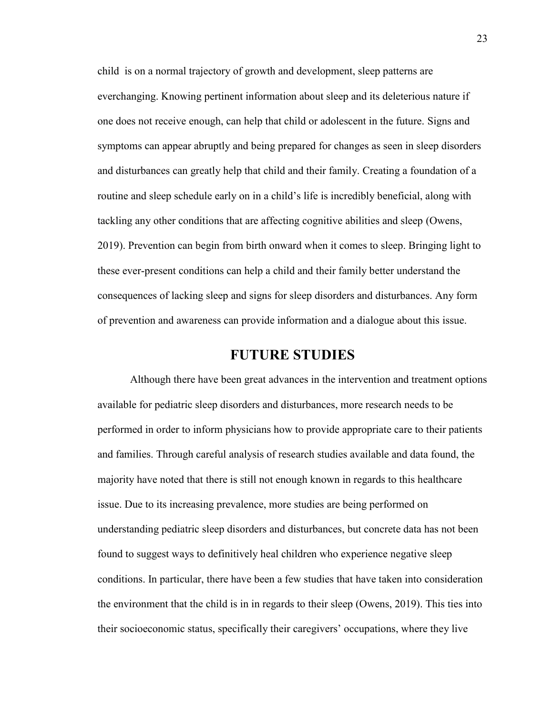child is on a normal trajectory of growth and development, sleep patterns are everchanging. Knowing pertinent information about sleep and its deleterious nature if one does not receive enough, can help that child or adolescent in the future. Signs and symptoms can appear abruptly and being prepared for changes as seen in sleep disorders and disturbances can greatly help that child and their family. Creating a foundation of a routine and sleep schedule early on in a child's life is incredibly beneficial, along with tackling any other conditions that are affecting cognitive abilities and sleep (Owens, 2019). Prevention can begin from birth onward when it comes to sleep. Bringing light to these ever-present conditions can help a child and their family better understand the consequences of lacking sleep and signs for sleep disorders and disturbances. Any form of prevention and awareness can provide information and a dialogue about this issue.

### **FUTURE STUDIES**

Although there have been great advances in the intervention and treatment options available for pediatric sleep disorders and disturbances, more research needs to be performed in order to inform physicians how to provide appropriate care to their patients and families. Through careful analysis of research studies available and data found, the majority have noted that there is still not enough known in regards to this healthcare issue. Due to its increasing prevalence, more studies are being performed on understanding pediatric sleep disorders and disturbances, but concrete data has not been found to suggest ways to definitively heal children who experience negative sleep conditions. In particular, there have been a few studies that have taken into consideration the environment that the child is in in regards to their sleep (Owens, 2019). This ties into their socioeconomic status, specifically their caregivers' occupations, where they live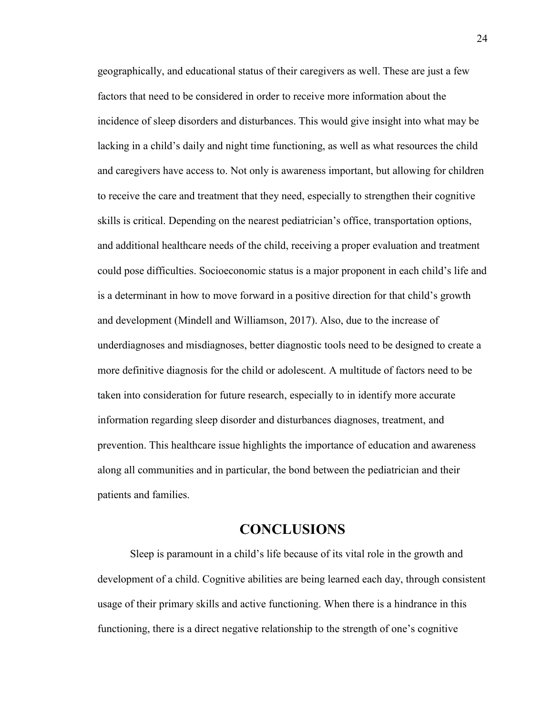geographically, and educational status of their caregivers as well. These are just a few factors that need to be considered in order to receive more information about the incidence of sleep disorders and disturbances. This would give insight into what may be lacking in a child's daily and night time functioning, as well as what resources the child and caregivers have access to. Not only is awareness important, but allowing for children to receive the care and treatment that they need, especially to strengthen their cognitive skills is critical. Depending on the nearest pediatrician's office, transportation options, and additional healthcare needs of the child, receiving a proper evaluation and treatment could pose difficulties. Socioeconomic status is a major proponent in each child's life and is a determinant in how to move forward in a positive direction for that child's growth and development (Mindell and Williamson, 2017). Also, due to the increase of underdiagnoses and misdiagnoses, better diagnostic tools need to be designed to create a more definitive diagnosis for the child or adolescent. A multitude of factors need to be taken into consideration for future research, especially to in identify more accurate information regarding sleep disorder and disturbances diagnoses, treatment, and prevention. This healthcare issue highlights the importance of education and awareness along all communities and in particular, the bond between the pediatrician and their patients and families.

## **CONCLUSIONS**

Sleep is paramount in a child's life because of its vital role in the growth and development of a child. Cognitive abilities are being learned each day, through consistent usage of their primary skills and active functioning. When there is a hindrance in this functioning, there is a direct negative relationship to the strength of one's cognitive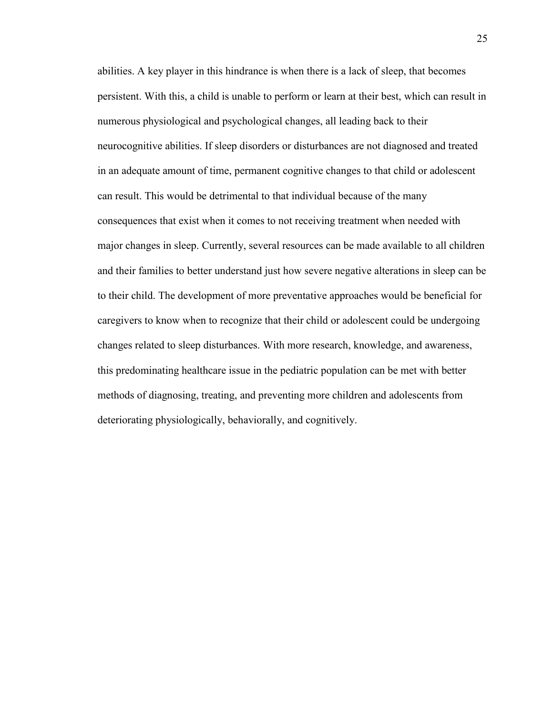abilities. A key player in this hindrance is when there is a lack of sleep, that becomes persistent. With this, a child is unable to perform or learn at their best, which can result in numerous physiological and psychological changes, all leading back to their neurocognitive abilities. If sleep disorders or disturbances are not diagnosed and treated in an adequate amount of time, permanent cognitive changes to that child or adolescent can result. This would be detrimental to that individual because of the many consequences that exist when it comes to not receiving treatment when needed with major changes in sleep. Currently, several resources can be made available to all children and their families to better understand just how severe negative alterations in sleep can be to their child. The development of more preventative approaches would be beneficial for caregivers to know when to recognize that their child or adolescent could be undergoing changes related to sleep disturbances. With more research, knowledge, and awareness, this predominating healthcare issue in the pediatric population can be met with better methods of diagnosing, treating, and preventing more children and adolescents from deteriorating physiologically, behaviorally, and cognitively.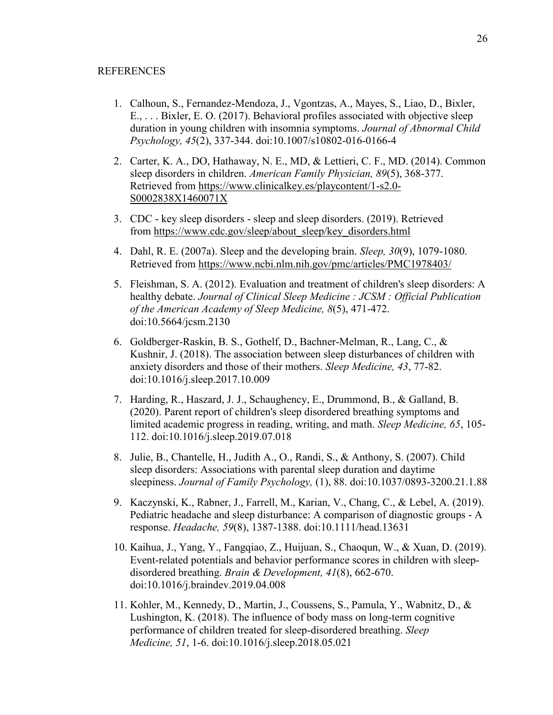- 1. Calhoun, S., Fernandez-Mendoza, J., Vgontzas, A., Mayes, S., Liao, D., Bixler, E., . . . Bixler, E. O. (2017). Behavioral profiles associated with objective sleep duration in young children with insomnia symptoms. *Journal of Abnormal Child Psychology, 45*(2), 337-344. doi:10.1007/s10802-016-0166-4
- 2. Carter, K. A., DO, Hathaway, N. E., MD, & Lettieri, C. F., MD. (2014). Common sleep disorders in children. *American Family Physician, 89*(5), 368-377. Retrieved from [https://www.clinicalkey.es/playcontent/1-s2.0-](https://www.clinicalkey.es/playcontent/1-s2.0-S0002838X1460071X) [S0002838X1460071X](https://www.clinicalkey.es/playcontent/1-s2.0-S0002838X1460071X)
- 3. CDC key sleep disorders sleep and sleep disorders. (2019). Retrieved from [https://www.cdc.gov/sleep/about\\_sleep/key\\_disorders.html](https://www.cdc.gov/sleep/about_sleep/key_disorders.html)
- 4. Dahl, R. E. (2007a). Sleep and the developing brain. *Sleep, 30*(9), 1079-1080. Retrieved from <https://www.ncbi.nlm.nih.gov/pmc/articles/PMC1978403/>
- 5. Fleishman, S. A. (2012). Evaluation and treatment of children's sleep disorders: A healthy debate. *Journal of Clinical Sleep Medicine : JCSM : Official Publication of the American Academy of Sleep Medicine, 8*(5), 471-472. doi:10.5664/jcsm.2130
- 6. Goldberger-Raskin, B. S., Gothelf, D., Bachner-Melman, R., Lang, C., & Kushnir, J. (2018). The association between sleep disturbances of children with anxiety disorders and those of their mothers. *Sleep Medicine, 43*, 77-82. doi:10.1016/j.sleep.2017.10.009
- 7. Harding, R., Haszard, J. J., Schaughency, E., Drummond, B., & Galland, B. (2020). Parent report of children's sleep disordered breathing symptoms and limited academic progress in reading, writing, and math. *Sleep Medicine, 65*, 105- 112. doi:10.1016/j.sleep.2019.07.018
- 8. Julie, B., Chantelle, H., Judith A., O., Randi, S., & Anthony, S. (2007). Child sleep disorders: Associations with parental sleep duration and daytime sleepiness. *Journal of Family Psychology,* (1), 88. doi:10.1037/0893-3200.21.1.88
- 9. Kaczynski, K., Rabner, J., Farrell, M., Karian, V., Chang, C., & Lebel, A. (2019). Pediatric headache and sleep disturbance: A comparison of diagnostic groups - A response. *Headache, 59*(8), 1387-1388. doi:10.1111/head.13631
- 10. Kaihua, J., Yang, Y., Fangqiao, Z., Huijuan, S., Chaoqun, W., & Xuan, D. (2019). Event-related potentials and behavior performance scores in children with sleepdisordered breathing. *Brain & Development, 41*(8), 662-670. doi:10.1016/j.braindev.2019.04.008
- 11. Kohler, M., Kennedy, D., Martin, J., Coussens, S., Pamula, Y., Wabnitz, D., & Lushington, K. (2018). The influence of body mass on long-term cognitive performance of children treated for sleep-disordered breathing. *Sleep Medicine, 51*, 1-6. doi:10.1016/j.sleep.2018.05.021